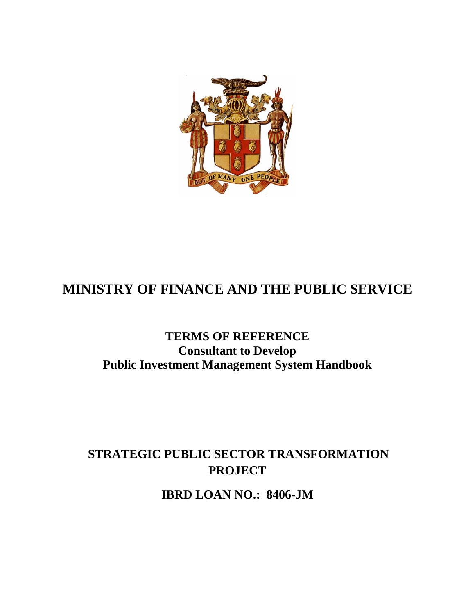

# **MINISTRY OF FINANCE AND THE PUBLIC SERVICE**

## **TERMS OF REFERENCE Consultant to Develop Public Investment Management System Handbook**

## **STRATEGIC PUBLIC SECTOR TRANSFORMATION PROJECT**

**IBRD LOAN NO.: 8406-JM**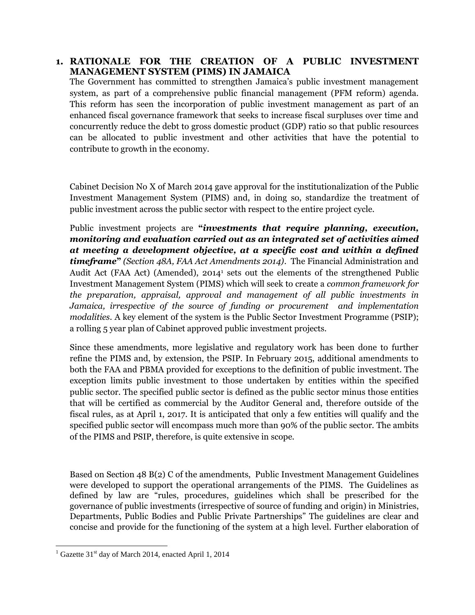#### **1. RATIONALE FOR THE CREATION OF A PUBLIC INVESTMENT MANAGEMENT SYSTEM (PIMS) IN JAMAICA**

The Government has committed to strengthen Jamaica's public investment management system, as part of a comprehensive public financial management (PFM reform) agenda. This reform has seen the incorporation of public investment management as part of an enhanced fiscal governance framework that seeks to increase fiscal surpluses over time and concurrently reduce the debt to gross domestic product (GDP) ratio so that public resources can be allocated to public investment and other activities that have the potential to contribute to growth in the economy.

Cabinet Decision No X of March 2014 gave approval for the institutionalization of the Public Investment Management System (PIMS) and, in doing so, standardize the treatment of public investment across the public sector with respect to the entire project cycle.

Public investment projects are **"***investments that require planning, execution, monitoring and evaluation carried out as an integrated set of activities aimed at meeting a development objective, at a specific cost and within a defined timeframe***"** *(Section 48A, FAA Act Amendments 2014)*. The Financial Administration and Audit Act (FAA Act) (Amended), 2014<sup>1</sup> sets out the elements of the strengthened Public Investment Management System (PIMS) which will seek to create a *common framework for the preparation, appraisal, approval and management of all public investments in Jamaica, irrespective of the source of funding or procurement and implementation modalities.* A key element of the system is the Public Sector Investment Programme (PSIP); a rolling 5 year plan of Cabinet approved public investment projects.

Since these amendments, more legislative and regulatory work has been done to further refine the PIMS and, by extension, the PSIP. In February 2015, additional amendments to both the FAA and PBMA provided for exceptions to the definition of public investment. The exception limits public investment to those undertaken by entities within the specified public sector. The specified public sector is defined as the public sector minus those entities that will be certified as commercial by the Auditor General and, therefore outside of the fiscal rules, as at April 1, 2017. It is anticipated that only a few entities will qualify and the specified public sector will encompass much more than 90% of the public sector. The ambits of the PIMS and PSIP, therefore, is quite extensive in scope.

Based on Section 48 B(2) C of the amendments, Public Investment Management Guidelines were developed to support the operational arrangements of the PIMS. The Guidelines as defined by law are "rules, procedures, guidelines which shall be prescribed for the governance of public investments (irrespective of source of funding and origin) in Ministries, Departments, Public Bodies and Public Private Partnerships" The guidelines are clear and concise and provide for the functioning of the system at a high level. Further elaboration of

 $1$  Gazette 31<sup>st</sup> day of March 2014, enacted April 1, 2014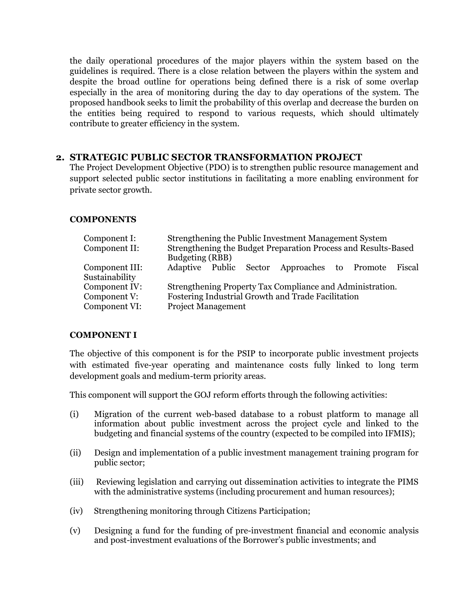the daily operational procedures of the major players within the system based on the guidelines is required. There is a close relation between the players within the system and despite the broad outline for operations being defined there is a risk of some overlap especially in the area of monitoring during the day to day operations of the system. The proposed handbook seeks to limit the probability of this overlap and decrease the burden on the entities being required to respond to various requests, which should ultimately contribute to greater efficiency in the system.

#### **2. STRATEGIC PUBLIC SECTOR TRANSFORMATION PROJECT**

The Project Development Objective (PDO) is to strengthen public resource management and support selected public sector institutions in facilitating a more enabling environment for private sector growth.

#### **COMPONENTS**

| Component I:<br>Component II:    | Strengthening the Public Investment Management System<br>Strengthening the Budget Preparation Process and Results-Based<br>Budgeting (RBB) |  |  |  |
|----------------------------------|--------------------------------------------------------------------------------------------------------------------------------------------|--|--|--|
| Component III:<br>Sustainability | Adaptive Public Sector Approaches to Promote<br>Fiscal                                                                                     |  |  |  |
| Component IV:                    | Strengthening Property Tax Compliance and Administration.                                                                                  |  |  |  |
| Component V:                     | Fostering Industrial Growth and Trade Facilitation                                                                                         |  |  |  |
| Component VI:                    | <b>Project Management</b>                                                                                                                  |  |  |  |

#### **COMPONENT I**

The objective of this component is for the PSIP to incorporate public investment projects with estimated five-year operating and maintenance costs fully linked to long term development goals and medium-term priority areas.

This component will support the GOJ reform efforts through the following activities:

- (i) Migration of the current web-based database to a robust platform to manage all information about public investment across the project cycle and linked to the budgeting and financial systems of the country (expected to be compiled into IFMIS);
- (ii) Design and implementation of a public investment management training program for public sector;
- (iii) Reviewing legislation and carrying out dissemination activities to integrate the PIMS with the administrative systems (including procurement and human resources);
- (iv) Strengthening monitoring through Citizens Participation;
- (v) Designing a fund for the funding of pre-investment financial and economic analysis and post-investment evaluations of the Borrower's public investments; and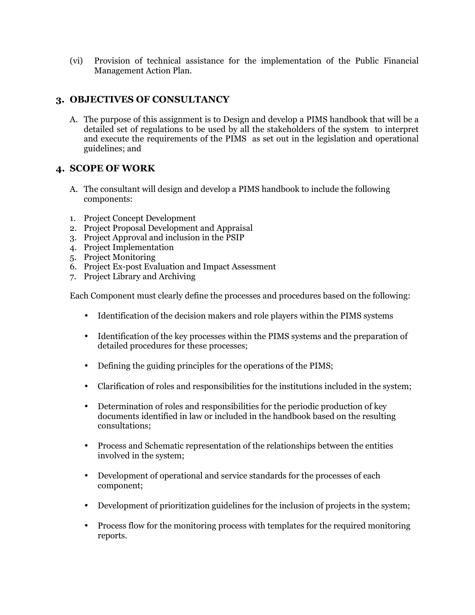(vi) Provision of technical assistance for the implementation of the Public Financial Management Action Plan.

## **3. OBJECTIVES OF CONSULTANCY**

A. The purpose of this assignment is to Design and develop a PIMS handbook that will be a detailed set of regulations to be used by all the stakeholders of the system to interpret and execute the requirements of the PIMS as set out in the legislation and operational guidelines; and

#### **4. SCOPE OF WORK**

- A. The consultant will design and develop a PIMS handbook to include the following components:
- 1. Project Concept Development
- 2. Project Proposal Development and Appraisal
- 3. Project Approval and inclusion in the PSIP
- 4. Project Implementation
- 5. Project Monitoring
- 6. Project Ex-post Evaluation and Impact Assessment
- 7. Project Library and Archiving

Each Component must clearly define the processes and procedures based on the following:

- Identification of the decision makers and role players within the PIMS systems
- Identification of the key processes within the PIMS systems and the preparation of detailed procedures for these processes;
- Defining the guiding principles for the operations of the PIMS;
- Clarification of roles and responsibilities for the institutions included in the system;
- Determination of roles and responsibilities for the periodic production of key documents identified in law or included in the handbook based on the resulting consultations;
- Process and Schematic representation of the relationships between the entities involved in the system;
- Development of operational and service standards for the processes of each component;
- Development of prioritization guidelines for the inclusion of projects in the system;
- Process flow for the monitoring process with templates for the required monitoring reports.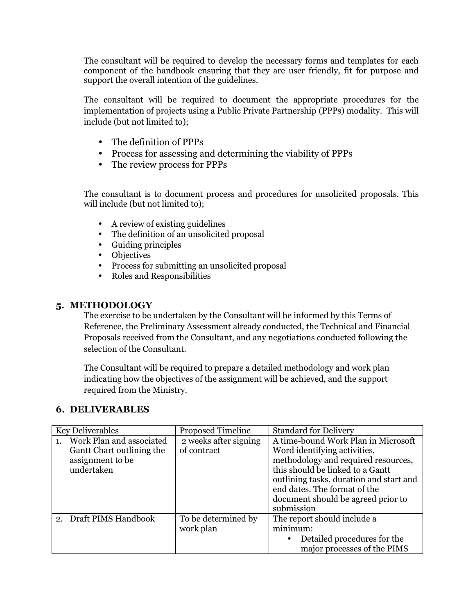The consultant will be required to develop the necessary forms and templates for each component of the handbook ensuring that they are user friendly, fit for purpose and support the overall intention of the guidelines.

The consultant will be required to document the appropriate procedures for the implementation of projects using a Public Private Partnership (PPPs) modality. This will include (but not limited to);

- The definition of PPPs
- Process for assessing and determining the viability of PPPs
- The review process for PPPs

The consultant is to document process and procedures for unsolicited proposals. This will include (but not limited to);

- A review of existing guidelines
- The definition of an unsolicited proposal
- Guiding principles
- Objectives
- Process for submitting an unsolicited proposal
- Roles and Responsibilities

### **5. METHODOLOGY**

The exercise to be undertaken by the Consultant will be informed by this Terms of Reference, the Preliminary Assessment already conducted, the Technical and Financial Proposals received from the Consultant, and any negotiations conducted following the selection of the Consultant.

The Consultant will be required to prepare a detailed methodology and work plan indicating how the objectives of the assignment will be achieved, and the support required from the Ministry.

## **6. DELIVERABLES**

| <b>Key Deliverables</b>                                                                 | <b>Proposed Timeline</b>             | <b>Standard for Delivery</b>                                                                                                                                                                                                                                                  |
|-----------------------------------------------------------------------------------------|--------------------------------------|-------------------------------------------------------------------------------------------------------------------------------------------------------------------------------------------------------------------------------------------------------------------------------|
| Work Plan and associated<br>Gantt Chart outlining the<br>assignment to be<br>undertaken | 2 weeks after signing<br>of contract | A time-bound Work Plan in Microsoft<br>Word identifying activities,<br>methodology and required resources,<br>this should be linked to a Gantt<br>outlining tasks, duration and start and<br>end dates. The format of the<br>document should be agreed prior to<br>submission |
| 2. Draft PIMS Handbook                                                                  | To be determined by<br>work plan     | The report should include a<br>minimum:<br>Detailed procedures for the<br>major processes of the PIMS                                                                                                                                                                         |